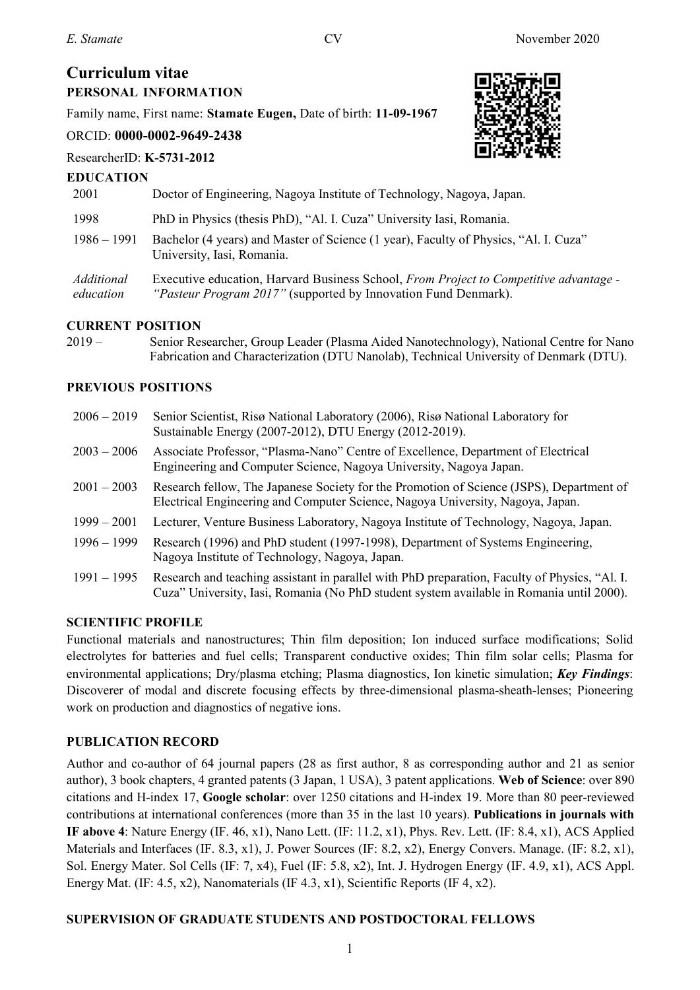# **Curriculum vitae PERSONAL INFORMATION**

Family name, First name: **Stamate Eugen,** Date of birth: **11-09-1967**

# ORCID: **0000-0002-9649-2438**

#### ResearcherID: **K-5731-2012**



| <b>EDUCATION</b>        |                                                                                                                                                         |
|-------------------------|---------------------------------------------------------------------------------------------------------------------------------------------------------|
| 2001                    | Doctor of Engineering, Nagoya Institute of Technology, Nagoya, Japan.                                                                                   |
| 1998                    | PhD in Physics (thesis PhD), "Al. I. Cuza" University Iasi, Romania.                                                                                    |
| $1986 - 1991$           | Bachelor (4 years) and Master of Science (1 year), Faculty of Physics, "Al. I. Cuza"<br>University, Iasi, Romania.                                      |
| Additional<br>education | Executive education, Harvard Business School, From Project to Competitive advantage -<br>"Pasteur Program 2017" (supported by Innovation Fund Denmark). |

# **CURRENT POSITION**

2019 – Senior Researcher, Group Leader (Plasma Aided Nanotechnology), National Centre for Nano Fabrication and Characterization (DTU Nanolab), Technical University of Denmark (DTU).

# **PREVIOUS POSITIONS**

| $2006 - 2019$ | Senior Scientist, Risø National Laboratory (2006), Risø National Laboratory for<br>Sustainable Energy (2007-2012), DTU Energy (2012-2019).                                                |
|---------------|-------------------------------------------------------------------------------------------------------------------------------------------------------------------------------------------|
| $2003 - 2006$ | Associate Professor, "Plasma-Nano" Centre of Excellence, Department of Electrical<br>Engineering and Computer Science, Nagoya University, Nagoya Japan.                                   |
| $2001 - 2003$ | Research fellow, The Japanese Society for the Promotion of Science (JSPS), Department of<br>Electrical Engineering and Computer Science, Nagoya University, Nagoya, Japan.                |
| $1999 - 2001$ | Lecturer, Venture Business Laboratory, Nagoya Institute of Technology, Nagoya, Japan.                                                                                                     |
| $1996 - 1999$ | Research (1996) and PhD student (1997-1998), Department of Systems Engineering,<br>Nagoya Institute of Technology, Nagoya, Japan.                                                         |
| $1991 - 1995$ | Research and teaching assistant in parallel with PhD preparation, Faculty of Physics, "Al. I.<br>Cuza" University, Iasi, Romania (No PhD student system available in Romania until 2000). |

# **SCIENTIFIC PROFILE**

Functional materials and nanostructures; Thin film deposition; Ion induced surface modifications; Solid electrolytes for batteries and fuel cells; Transparent conductive oxides; Thin film solar cells; Plasma for environmental applications; Dry/plasma etching; Plasma diagnostics, Ion kinetic simulation; *Key Findings*: Discoverer of modal and discrete focusing effects by three-dimensional plasma-sheath-lenses; Pioneering work on production and diagnostics of negative ions.

# **PUBLICATION RECORD**

Author and co-author of 64 journal papers (28 as first author, 8 as corresponding author and 21 as senior author), 3 book chapters, 4 granted patents (3 Japan, 1 USA), 3 patent applications. **Web of Science**: over 890 citations and H-index 17, **Google scholar**: over 1250 citations and H-index 19. More than 80 peer-reviewed contributions at international conferences (more than 35 in the last 10 years). **Publications in journals with IF above 4**: Nature Energy (IF. 46, x1), Nano Lett. (IF: 11.2, x1), Phys. Rev. Lett. (IF: 8.4, x1), ACS Applied Materials and Interfaces (IF. 8.3, x1), J. Power Sources (IF: 8.2, x2), Energy Convers. Manage. (IF: 8.2, x1), Sol. Energy Mater. Sol Cells (IF: 7, x4), Fuel (IF: 5.8, x2), Int. J. Hydrogen Energy (IF. 4.9, x1), ACS Appl. Energy Mat. (IF: 4.5, x2), Nanomaterials (IF 4.3, x1), Scientific Reports (IF 4, x2).

# **SUPERVISION OF GRADUATE STUDENTS AND POSTDOCTORAL FELLOWS**